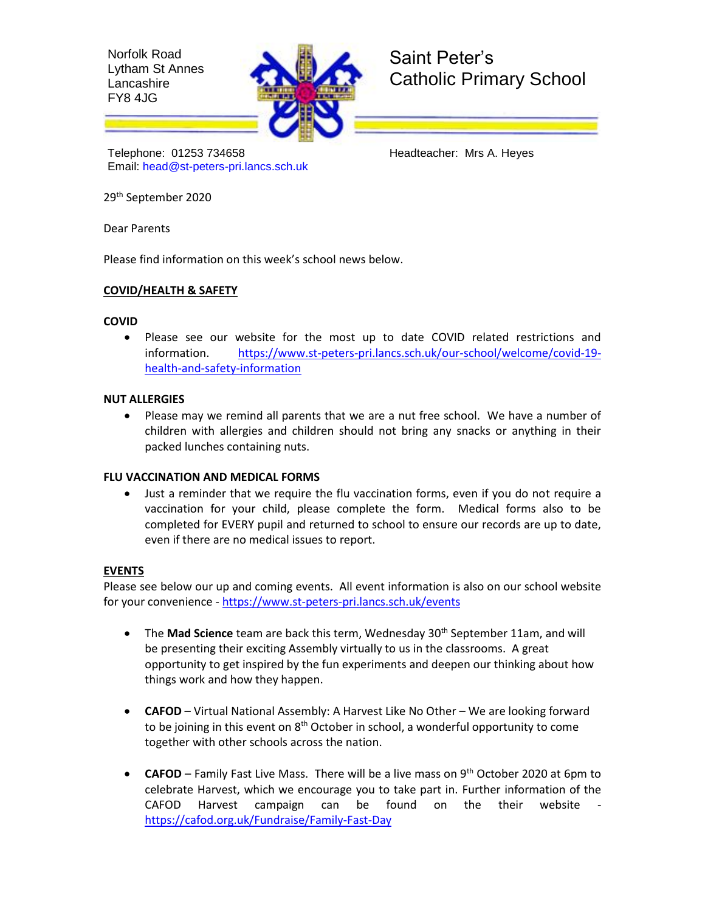Norfolk Road Lytham St Annes **Lancashire** FY8 4JG



Saint Peter's Catholic Primary School

Telephone: 01253 734658 Headteacher: Mrs A. Heyes Email: [head@st-peters-pri.lancs.sch.uk](mailto:head@st-peters-pri.lancs.sch.uk)

29 th September 2020

Dear Parents

Please find information on this week's school news below.

## **COVID/HEALTH & SAFETY**

### **COVID**

 Please see our website for the most up to date COVID related restrictions and information. [https://www.st-peters-pri.lancs.sch.uk/our-school/welcome/covid-19](https://www.st-peters-pri.lancs.sch.uk/our-school/welcome/covid-19-health-and-safety-information) [health-and-safety-information](https://www.st-peters-pri.lancs.sch.uk/our-school/welcome/covid-19-health-and-safety-information)

## **NUT ALLERGIES**

 Please may we remind all parents that we are a nut free school. We have a number of children with allergies and children should not bring any snacks or anything in their packed lunches containing nuts.

### **FLU VACCINATION AND MEDICAL FORMS**

 Just a reminder that we require the flu vaccination forms, even if you do not require a vaccination for your child, please complete the form. Medical forms also to be completed for EVERY pupil and returned to school to ensure our records are up to date, even if there are no medical issues to report.

# **EVENTS**

Please see below our up and coming events. All event information is also on our school website for your convenience - <https://www.st-peters-pri.lancs.sch.uk/events>

- The Mad Science team are back this term, Wednesday 30<sup>th</sup> September 11am, and will be presenting their exciting Assembly virtually to us in the classrooms. A great opportunity to get inspired by the fun experiments and deepen our thinking about how things work and how they happen.
- **CAFOD** Virtual National Assembly: A Harvest Like No Other We are looking forward to be joining in this event on  $8<sup>th</sup>$  October in school, a wonderful opportunity to come together with other schools across the nation.
- **CAFOD**  Family Fast Live Mass. There will be a live mass on 9th October 2020 at 6pm to celebrate Harvest, which we encourage you to take part in. Further information of the CAFOD Harvest campaign can be found on the their website <https://cafod.org.uk/Fundraise/Family-Fast-Day>